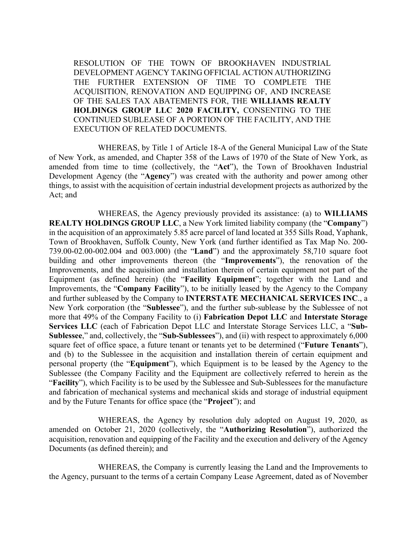RESOLUTION OF THE TOWN OF BROOKHAVEN INDUSTRIAL DEVELOPMENT AGENCY TAKING OFFICIAL ACTION AUTHORIZING THE FURTHER EXTENSION OF TIME TO COMPLETE THE ACQUISITION, RENOVATION AND EQUIPPING OF, AND INCREASE OF THE SALES TAX ABATEMENTS FOR, THE **WILLIAMS REALTY HOLDINGS GROUP LLC 2020 FACILITY,** CONSENTING TO THE CONTINUED SUBLEASE OF A PORTION OF THE FACILITY, AND THE EXECUTION OF RELATED DOCUMENTS.

WHEREAS, by Title 1 of Article 18-A of the General Municipal Law of the State of New York, as amended, and Chapter 358 of the Laws of 1970 of the State of New York, as amended from time to time (collectively, the "**Act**"), the Town of Brookhaven Industrial Development Agency (the "**Agency**") was created with the authority and power among other things, to assist with the acquisition of certain industrial development projects as authorized by the Act; and

WHEREAS, the Agency previously provided its assistance: (a) to **WILLIAMS REALTY HOLDINGS GROUP LLC**, a New York limited liability company (the "**Company**") in the acquisition of an approximately 5.85 acre parcel of land located at 355 Sills Road, Yaphank, Town of Brookhaven, Suffolk County, New York (and further identified as Tax Map No. 200- 739.00-02.00-002.004 and 003.000) (the "**Land**") and the approximately 58,710 square foot building and other improvements thereon (the "**Improvements**"), the renovation of the Improvements, and the acquisition and installation therein of certain equipment not part of the Equipment (as defined herein) (the "**Facility Equipment**"; together with the Land and Improvements, the "**Company Facility**"), to be initially leased by the Agency to the Company and further subleased by the Company to **INTERSTATE MECHANICAL SERVICES INC**., a New York corporation (the "**Sublessee**"), and the further sub-sublease by the Sublessee of not more that 49% of the Company Facility to (i) **Fabrication Depot LLC** and **Interstate Storage Services LLC** (each of Fabrication Depot LLC and Interstate Storage Services LLC, a "**Sub-Sublessee**," and, collectively, the "**Sub-Sublessees**"), and (ii) with respect to approximately 6,000 square feet of office space, a future tenant or tenants yet to be determined ("**Future Tenants**"), and (b) to the Sublessee in the acquisition and installation therein of certain equipment and personal property (the "**Equipment**"), which Equipment is to be leased by the Agency to the Sublessee (the Company Facility and the Equipment are collectively referred to herein as the "**Facility**"), which Facility is to be used by the Sublessee and Sub-Sublessees for the manufacture and fabrication of mechanical systems and mechanical skids and storage of industrial equipment and by the Future Tenants for office space (the "**Project**"); and

WHEREAS, the Agency by resolution duly adopted on August 19, 2020, as amended on October 21, 2020 (collectively, the "**Authorizing Resolution**"), authorized the acquisition, renovation and equipping of the Facility and the execution and delivery of the Agency Documents (as defined therein); and

WHEREAS, the Company is currently leasing the Land and the Improvements to the Agency, pursuant to the terms of a certain Company Lease Agreement, dated as of November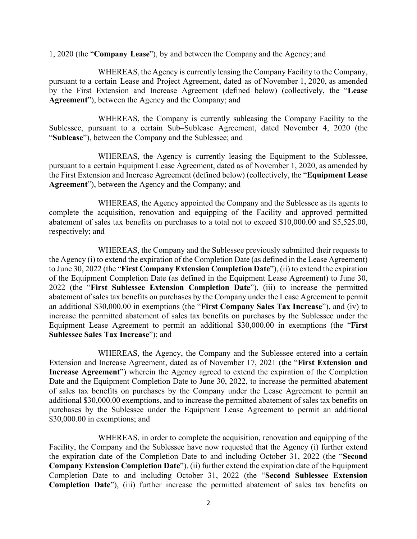1, 2020 (the "**Company Lease**"), by and between the Company and the Agency; and

WHEREAS, the Agency is currently leasing the Company Facility to the Company, pursuant to a certain Lease and Project Agreement, dated as of November 1, 2020, as amended by the First Extension and Increase Agreement (defined below) (collectively, the "**Lease Agreement**"), between the Agency and the Company; and

WHEREAS, the Company is currently subleasing the Company Facility to the Sublessee, pursuant to a certain Sub–Sublease Agreement, dated November 4, 2020 (the "**Sublease**"), between the Company and the Sublessee; and

WHEREAS, the Agency is currently leasing the Equipment to the Sublessee, pursuant to a certain Equipment Lease Agreement, dated as of November 1, 2020, as amended by the First Extension and Increase Agreement (defined below) (collectively, the "**Equipment Lease Agreement**"), between the Agency and the Company; and

WHEREAS, the Agency appointed the Company and the Sublessee as its agents to complete the acquisition, renovation and equipping of the Facility and approved permitted abatement of sales tax benefits on purchases to a total not to exceed \$10,000.00 and \$5,525.00, respectively; and

WHEREAS, the Company and the Sublessee previously submitted their requests to the Agency (i) to extend the expiration of the Completion Date (as defined in the Lease Agreement) to June 30, 2022 (the "**First Company Extension Completion Date**"), (ii) to extend the expiration of the Equipment Completion Date (as defined in the Equipment Lease Agreement) to June 30, 2022 (the "**First Sublessee Extension Completion Date**"), (iii) to increase the permitted abatement of sales tax benefits on purchases by the Company under the Lease Agreement to permit an additional \$30,000.00 in exemptions (the "**First Company Sales Tax Increase**"), and (iv) to increase the permitted abatement of sales tax benefits on purchases by the Sublessee under the Equipment Lease Agreement to permit an additional \$30,000.00 in exemptions (the "**First Sublessee Sales Tax Increase**"); and

WHEREAS, the Agency, the Company and the Sublessee entered into a certain Extension and Increase Agreement, dated as of November 17, 2021 (the "**First Extension and Increase Agreement**") wherein the Agency agreed to extend the expiration of the Completion Date and the Equipment Completion Date to June 30, 2022, to increase the permitted abatement of sales tax benefits on purchases by the Company under the Lease Agreement to permit an additional \$30,000.00 exemptions, and to increase the permitted abatement of sales tax benefits on purchases by the Sublessee under the Equipment Lease Agreement to permit an additional \$30,000.00 in exemptions; and

WHEREAS, in order to complete the acquisition, renovation and equipping of the Facility, the Company and the Sublessee have now requested that the Agency (i) further extend the expiration date of the Completion Date to and including October 31, 2022 (the "**Second Company Extension Completion Date**"), (ii) further extend the expiration date of the Equipment Completion Date to and including October 31, 2022 (the "**Second Sublessee Extension Completion Date**"), (iii) further increase the permitted abatement of sales tax benefits on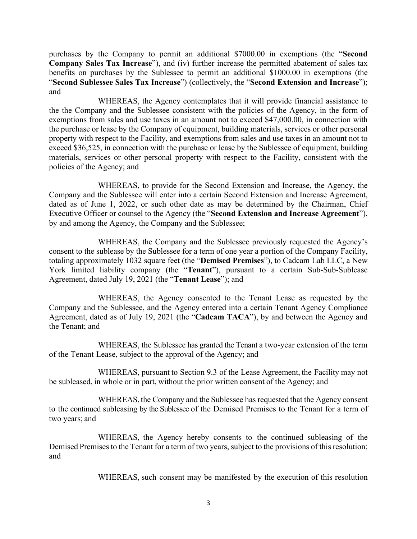purchases by the Company to permit an additional \$7000.00 in exemptions (the "**Second Company Sales Tax Increase**"), and (iv) further increase the permitted abatement of sales tax benefits on purchases by the Sublessee to permit an additional \$1000.00 in exemptions (the "**Second Sublessee Sales Tax Increase**") (collectively, the "**Second Extension and Increase**"); and

WHEREAS, the Agency contemplates that it will provide financial assistance to the the Company and the Sublessee consistent with the policies of the Agency, in the form of exemptions from sales and use taxes in an amount not to exceed \$47,000.00, in connection with the purchase or lease by the Company of equipment, building materials, services or other personal property with respect to the Facility, and exemptions from sales and use taxes in an amount not to exceed \$36,525, in connection with the purchase or lease by the Sublessee of equipment, building materials, services or other personal property with respect to the Facility, consistent with the policies of the Agency; and

WHEREAS, to provide for the Second Extension and Increase, the Agency, the Company and the Sublessee will enter into a certain Second Extension and Increase Agreement, dated as of June 1, 2022, or such other date as may be determined by the Chairman, Chief Executive Officer or counsel to the Agency (the "**Second Extension and Increase Agreement**"), by and among the Agency, the Company and the Sublessee;

WHEREAS, the Company and the Sublessee previously requested the Agency's consent to the sublease by the Sublessee for a term of one year a portion of the Company Facility, totaling approximately 1032 square feet (the "**Demised Premises**"), to Cadcam Lab LLC, a New York limited liability company (the "**Tenant**"), pursuant to a certain Sub-Sub-Sublease Agreement, dated July 19, 2021 (the "**Tenant Lease**"); and

WHEREAS, the Agency consented to the Tenant Lease as requested by the Company and the Sublessee, and the Agency entered into a certain Tenant Agency Compliance Agreement, dated as of July 19, 2021 (the "**Cadcam TACA**"), by and between the Agency and the Tenant; and

WHEREAS, the Sublessee has granted the Tenant a two-year extension of the term of the Tenant Lease, subject to the approval of the Agency; and

WHEREAS, pursuant to Section 9.3 of the Lease Agreement, the Facility may not be subleased, in whole or in part, without the prior written consent of the Agency; and

WHEREAS, the Company and the Sublessee has requested that the Agency consent to the continued subleasing by the Sublessee of the Demised Premises to the Tenant for a term of two years; and

WHEREAS, the Agency hereby consents to the continued subleasing of the Demised Premises to the Tenant for a term of two years, subject to the provisions of this resolution; and

WHEREAS, such consent may be manifested by the execution of this resolution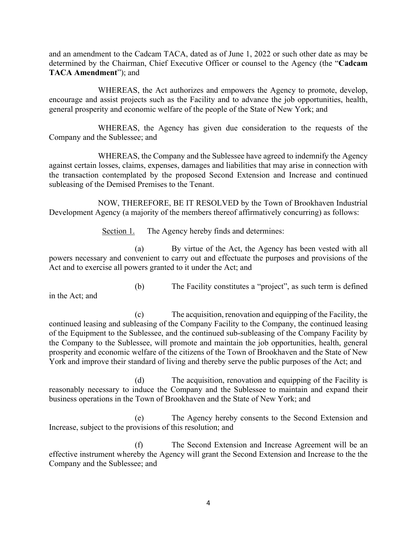and an amendment to the Cadcam TACA, dated as of June 1, 2022 or such other date as may be determined by the Chairman, Chief Executive Officer or counsel to the Agency (the "**Cadcam TACA Amendment**"); and

WHEREAS, the Act authorizes and empowers the Agency to promote, develop, encourage and assist projects such as the Facility and to advance the job opportunities, health, general prosperity and economic welfare of the people of the State of New York; and

WHEREAS, the Agency has given due consideration to the requests of the Company and the Sublessee; and

WHEREAS, the Company and the Sublessee have agreed to indemnify the Agency against certain losses, claims, expenses, damages and liabilities that may arise in connection with the transaction contemplated by the proposed Second Extension and Increase and continued subleasing of the Demised Premises to the Tenant.

NOW, THEREFORE, BE IT RESOLVED by the Town of Brookhaven Industrial Development Agency (a majority of the members thereof affirmatively concurring) as follows:

Section 1. The Agency hereby finds and determines:

(a) By virtue of the Act, the Agency has been vested with all powers necessary and convenient to carry out and effectuate the purposes and provisions of the Act and to exercise all powers granted to it under the Act; and

in the Act; and

(b) The Facility constitutes a "project", as such term is defined

(c) The acquisition, renovation and equipping of the Facility, the continued leasing and subleasing of the Company Facility to the Company, the continued leasing of the Equipment to the Sublessee, and the continued sub-subleasing of the Company Facility by the Company to the Sublessee, will promote and maintain the job opportunities, health, general prosperity and economic welfare of the citizens of the Town of Brookhaven and the State of New York and improve their standard of living and thereby serve the public purposes of the Act; and

(d) The acquisition, renovation and equipping of the Facility is reasonably necessary to induce the Company and the Sublessee to maintain and expand their business operations in the Town of Brookhaven and the State of New York; and

(e) The Agency hereby consents to the Second Extension and Increase, subject to the provisions of this resolution; and

(f) The Second Extension and Increase Agreement will be an effective instrument whereby the Agency will grant the Second Extension and Increase to the the Company and the Sublessee; and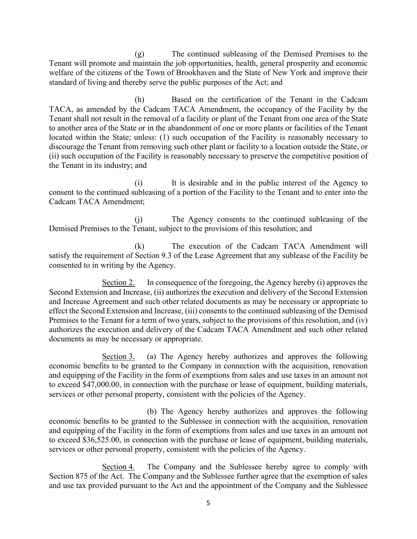(g) The continued subleasing of the Demised Premises to the Tenant will promote and maintain the job opportunities, health, general prosperity and economic welfare of the citizens of the Town of Brookhaven and the State of New York and improve their standard of living and thereby serve the public purposes of the Act; and

(h) Based on the certification of the Tenant in the Cadcam TACA, as amended by the Cadcam TACA Amendment, the occupancy of the Facility by the Tenant shall not result in the removal of a facility or plant of the Tenant from one area of the State to another area of the State or in the abandonment of one or more plants or facilities of the Tenant located within the State; unless: (1) such occupation of the Facility is reasonably necessary to discourage the Tenant from removing such other plant or facility to a location outside the State, or (ii) such occupation of the Facility is reasonably necessary to preserve the competitive position of the Tenant in its industry; and

(i) It is desirable and in the public interest of the Agency to consent to the continued subleasing of a portion of the Facility to the Tenant and to enter into the Cadcam TACA Amendment;

(j) The Agency consents to the continued subleasing of the Demised Premises to the Tenant, subject to the provisions of this resolution; and

(k) The execution of the Cadcam TACA Amendment will satisfy the requirement of Section 9.3 of the Lease Agreement that any sublease of the Facility be consented to in writing by the Agency.

Section 2. In consequence of the foregoing, the Agency hereby (i) approves the Second Extension and Increase, (ii) authorizes the execution and delivery of the Second Extension and Increase Agreement and such other related documents as may be necessary or appropriate to effect the Second Extension and Increase, (iii) consents to the continued subleasing of the Demised Premises to the Tenant for a term of two years, subject to the provisions of this resolution, and (iv) authorizes the execution and delivery of the Cadcam TACA Amendment and such other related documents as may be necessary or appropriate.

Section 3. (a) The Agency hereby authorizes and approves the following economic benefits to be granted to the Company in connection with the acquisition, renovation and equipping of the Facility in the form of exemptions from sales and use taxes in an amount not to exceed \$47,000.00, in connection with the purchase or lease of equipment, building materials, services or other personal property, consistent with the policies of the Agency.

(b) The Agency hereby authorizes and approves the following economic benefits to be granted to the Sublessee in connection with the acquisition, renovation and equipping of the Facility in the form of exemptions from sales and use taxes in an amount not to exceed \$36,525.00, in connection with the purchase or lease of equipment, building materials, services or other personal property, consistent with the policies of the Agency.

Section 4. The Company and the Sublessee hereby agree to comply with Section 875 of the Act. The Company and the Sublessee further agree that the exemption of sales and use tax provided pursuant to the Act and the appointment of the Company and the Sublessee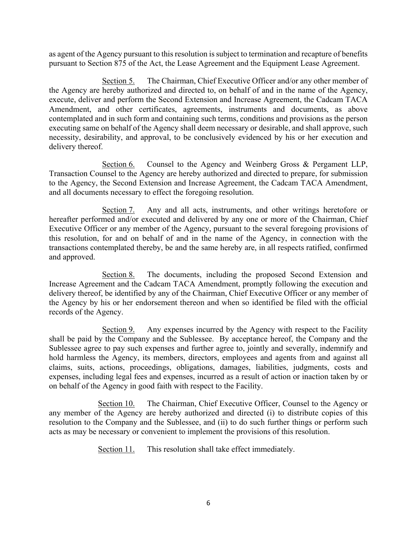as agent of the Agency pursuant to this resolution is subject to termination and recapture of benefits pursuant to Section 875 of the Act, the Lease Agreement and the Equipment Lease Agreement.

Section 5. The Chairman, Chief Executive Officer and/or any other member of the Agency are hereby authorized and directed to, on behalf of and in the name of the Agency, execute, deliver and perform the Second Extension and Increase Agreement, the Cadcam TACA Amendment, and other certificates, agreements, instruments and documents, as above contemplated and in such form and containing such terms, conditions and provisions as the person executing same on behalf of the Agency shall deem necessary or desirable, and shall approve, such necessity, desirability, and approval, to be conclusively evidenced by his or her execution and delivery thereof.

Section 6. Counsel to the Agency and Weinberg Gross & Pergament LLP, Transaction Counsel to the Agency are hereby authorized and directed to prepare, for submission to the Agency, the Second Extension and Increase Agreement, the Cadcam TACA Amendment, and all documents necessary to effect the foregoing resolution.

Section 7. Any and all acts, instruments, and other writings heretofore or hereafter performed and/or executed and delivered by any one or more of the Chairman, Chief Executive Officer or any member of the Agency, pursuant to the several foregoing provisions of this resolution, for and on behalf of and in the name of the Agency, in connection with the transactions contemplated thereby, be and the same hereby are, in all respects ratified, confirmed and approved.

Section 8. The documents, including the proposed Second Extension and Increase Agreement and the Cadcam TACA Amendment, promptly following the execution and delivery thereof, be identified by any of the Chairman, Chief Executive Officer or any member of the Agency by his or her endorsement thereon and when so identified be filed with the official records of the Agency.

Section 9. Any expenses incurred by the Agency with respect to the Facility shall be paid by the Company and the Sublessee. By acceptance hereof, the Company and the Sublessee agree to pay such expenses and further agree to, jointly and severally, indemnify and hold harmless the Agency, its members, directors, employees and agents from and against all claims, suits, actions, proceedings, obligations, damages, liabilities, judgments, costs and expenses, including legal fees and expenses, incurred as a result of action or inaction taken by or on behalf of the Agency in good faith with respect to the Facility.

Section 10. The Chairman, Chief Executive Officer, Counsel to the Agency or any member of the Agency are hereby authorized and directed (i) to distribute copies of this resolution to the Company and the Sublessee, and (ii) to do such further things or perform such acts as may be necessary or convenient to implement the provisions of this resolution.

Section 11. This resolution shall take effect immediately.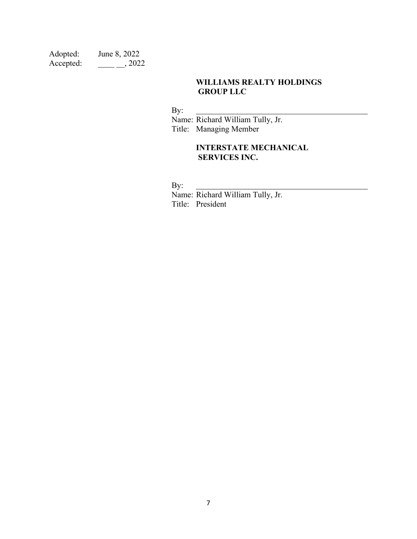| Adopted:  | June 8, 2022 |
|-----------|--------------|
| Accepted: | , 2022       |

## **WILLIAMS REALTY HOLDINGS GROUP LLC**

By:

 Name: Richard William Tully, Jr. Title: Managing Member

## **INTERSTATE MECHANICAL SERVICES INC.**

By:

 Name: Richard William Tully, Jr. Title: President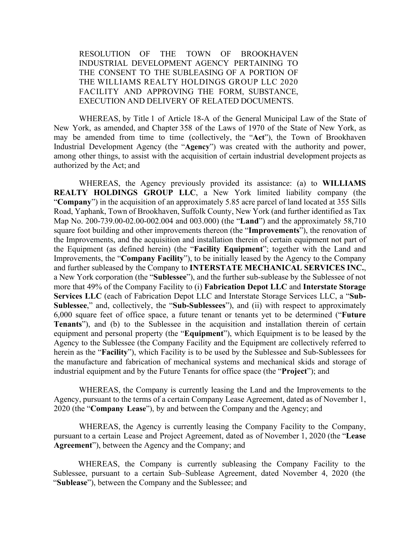RESOLUTION OF THE TOWN OF BROOKHAVEN INDUSTRIAL DEVELOPMENT AGENCY PERTAINING TO THE CONSENT TO THE SUBLEASING OF A PORTION OF THE WILLIAMS REALTY HOLDINGS GROUP LLC 2020 FACILITY AND APPROVING THE FORM, SUBSTANCE, EXECUTION AND DELIVERY OF RELATED DOCUMENTS.

WHEREAS, by Title 1 of Article 18-A of the General Municipal Law of the State of New York, as amended, and Chapter 358 of the Laws of 1970 of the State of New York, as may be amended from time to time (collectively, the "**Act**"), the Town of Brookhaven Industrial Development Agency (the "**Agency**") was created with the authority and power, among other things, to assist with the acquisition of certain industrial development projects as authorized by the Act; and

WHEREAS, the Agency previously provided its assistance: (a) to **WILLIAMS REALTY HOLDINGS GROUP LLC**, a New York limited liability company (the "**Company**") in the acquisition of an approximately 5.85 acre parcel of land located at 355 Sills Road, Yaphank, Town of Brookhaven, Suffolk County, New York (and further identified as Tax Map No. 200-739.00-02.00-002.004 and 003.000) (the "**Land**") and the approximately 58,710 square foot building and other improvements thereon (the "**Improvements**"), the renovation of the Improvements, and the acquisition and installation therein of certain equipment not part of the Equipment (as defined herein) (the "**Facility Equipment**"; together with the Land and Improvements, the "**Company Facility**"), to be initially leased by the Agency to the Company and further subleased by the Company to **INTERSTATE MECHANICAL SERVICES INC.**, a New York corporation (the "**Sublessee**"), and the further sub-sublease by the Sublessee of not more that 49% of the Company Facility to (i) **Fabrication Depot LLC** and **Interstate Storage Services LLC** (each of Fabrication Depot LLC and Interstate Storage Services LLC, a "**Sub-Sublessee**," and, collectively, the "**Sub-Sublessees**"), and (ii) with respect to approximately 6,000 square feet of office space, a future tenant or tenants yet to be determined ("**Future Tenants**"), and (b) to the Sublessee in the acquisition and installation therein of certain equipment and personal property (the "**Equipment**"), which Equipment is to be leased by the Agency to the Sublessee (the Company Facility and the Equipment are collectively referred to herein as the "**Facility**"), which Facility is to be used by the Sublessee and Sub-Sublessees for the manufacture and fabrication of mechanical systems and mechanical skids and storage of industrial equipment and by the Future Tenants for office space (the "**Project**"); and

WHEREAS, the Company is currently leasing the Land and the Improvements to the Agency, pursuant to the terms of a certain Company Lease Agreement, dated as of November 1, 2020 (the "**Company Lease**"), by and between the Company and the Agency; and

WHEREAS, the Agency is currently leasing the Company Facility to the Company, pursuant to a certain Lease and Project Agreement, dated as of November 1, 2020 (the "**Lease Agreement**"), between the Agency and the Company; and

WHEREAS, the Company is currently subleasing the Company Facility to the Sublessee, pursuant to a certain Sub–Sublease Agreement, dated November 4, 2020 (the "**Sublease**"), between the Company and the Sublessee; and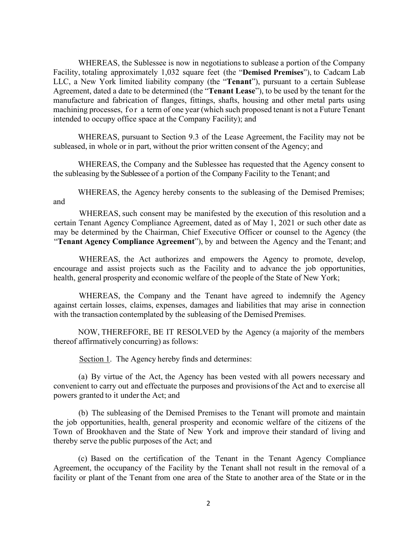WHEREAS, the Sublessee is now in negotiations to sublease a portion of the Company Facility, totaling approximately 1,032 square feet (the "**Demised Premises**"), to Cadcam Lab LLC, a New York limited liability company (the "**Tenant**"), pursuant to a certain Sublease Agreement, dated a date to be determined (the "**Tenant Lease**"), to be used by the tenant for the manufacture and fabrication of flanges, fittings, shafts, housing and other metal parts using machining processes, for a term of one year (which such proposed tenant is not a Future Tenant intended to occupy office space at the Company Facility); and

WHEREAS, pursuant to Section 9.3 of the Lease Agreement, the Facility may not be subleased, in whole or in part, without the prior written consent of the Agency; and

WHEREAS, the Company and the Sublessee has requested that the Agency consent to the subleasing by the Sublessee of a portion of the Company Facility to the Tenant; and

WHEREAS, the Agency hereby consents to the subleasing of the Demised Premises; and

WHEREAS, such consent may be manifested by the execution of this resolution and a certain Tenant Agency Compliance Agreement, dated as of May 1, 2021 or such other date as may be determined by the Chairman, Chief Executive Officer or counsel to the Agency (the "**Tenant Agency Compliance Agreement**"), by and between the Agency and the Tenant; and

WHEREAS, the Act authorizes and empowers the Agency to promote, develop, encourage and assist projects such as the Facility and to advance the job opportunities, health, general prosperity and economic welfare of the people of the State of New York;

WHEREAS, the Company and the Tenant have agreed to indemnify the Agency against certain losses, claims, expenses, damages and liabilities that may arise in connection with the transaction contemplated by the subleasing of the Demised Premises.

NOW, THEREFORE, BE IT RESOLVED by the Agency (a majority of the members thereof affirmatively concurring) as follows:

Section 1. The Agency hereby finds and determines:

(a) By virtue of the Act, the Agency has been vested with all powers necessary and convenient to carry out and effectuate the purposes and provisions of the Act and to exercise all powers granted to it under the Act; and

(b) The subleasing of the Demised Premises to the Tenant will promote and maintain the job opportunities, health, general prosperity and economic welfare of the citizens of the Town of Brookhaven and the State of New York and improve their standard of living and thereby serve the public purposes of the Act; and

(c) Based on the certification of the Tenant in the Tenant Agency Compliance Agreement, the occupancy of the Facility by the Tenant shall not result in the removal of a facility or plant of the Tenant from one area of the State to another area of the State or in the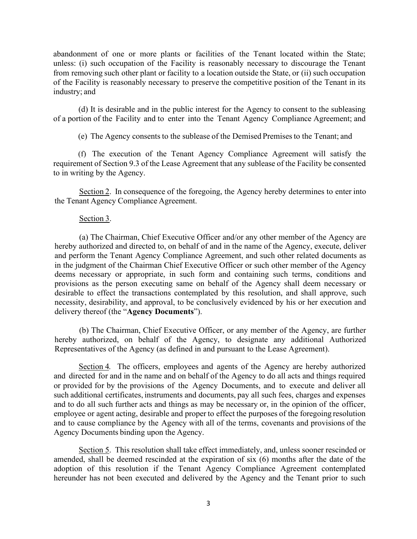abandonment of one or more plants or facilities of the Tenant located within the State; unless: (i) such occupation of the Facility is reasonably necessary to discourage the Tenant from removing such other plant or facility to a location outside the State, or (ii) such occupation of the Facility is reasonably necessary to preserve the competitive position of the Tenant in its industry; and

(d) It is desirable and in the public interest for the Agency to consent to the subleasing of a portion of the Facility and to enter into the Tenant Agency Compliance Agreement; and

(e) The Agency consents to the sublease of the Demised Premisesto the Tenant; and

(f) The execution of the Tenant Agency Compliance Agreement will satisfy the requirement of Section 9.3 of the Lease Agreement that any sublease of the Facility be consented to in writing by the Agency.

Section 2. In consequence of the foregoing, the Agency hereby determines to enter into the Tenant Agency Compliance Agreement.

#### Section 3.

(a) The Chairman, Chief Executive Officer and/or any other member of the Agency are hereby authorized and directed to, on behalf of and in the name of the Agency, execute, deliver and perform the Tenant Agency Compliance Agreement, and such other related documents as in the judgment of the Chairman Chief Executive Officer or such other member of the Agency deems necessary or appropriate, in such form and containing such terms, conditions and provisions as the person executing same on behalf of the Agency shall deem necessary or desirable to effect the transactions contemplated by this resolution, and shall approve, such necessity, desirability, and approval, to be conclusively evidenced by his or her execution and delivery thereof (the "**Agency Documents**").

(b) The Chairman, Chief Executive Officer, or any member of the Agency, are further hereby authorized, on behalf of the Agency, to designate any additional Authorized Representatives of the Agency (as defined in and pursuant to the Lease Agreement).

Section 4. The officers, employees and agents of the Agency are hereby authorized and directed for and in the name and on behalf of the Agency to do all acts and things required or provided for by the provisions of the Agency Documents, and to execute and deliver all such additional certificates, instruments and documents, pay all such fees, charges and expenses and to do all such further acts and things as may be necessary or, in the opinion of the officer, employee or agent acting, desirable and proper to effect the purposes of the foregoing resolution and to cause compliance by the Agency with all of the terms, covenants and provisions of the Agency Documents binding upon the Agency.

Section 5. This resolution shall take effect immediately, and, unless sooner rescinded or amended, shall be deemed rescinded at the expiration of six (6) months after the date of the adoption of this resolution if the Tenant Agency Compliance Agreement contemplated hereunder has not been executed and delivered by the Agency and the Tenant prior to such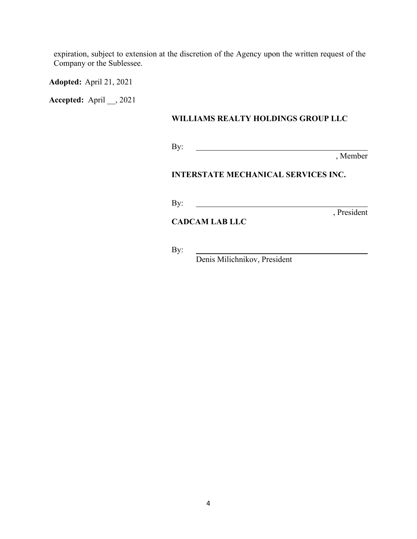expiration, subject to extension at the discretion of the Agency upon the written request of the Company or the Sublessee.

**Adopted:** April 21, 2021

**Accepted:** April \_\_, 2021

### **WILLIAMS REALTY HOLDINGS GROUP LLC**

By: 

, Member

#### **INTERSTATE MECHANICAL SERVICES INC.**

<u> 1980 - Johann Barn, fransk politik fotograf (d. 1980)</u>

By:

, President

### **CADCAM LAB LLC**

By:

<u> 1980 - Johann Stoff, fransk politik (d. 1980)</u> Denis Milichnikov, President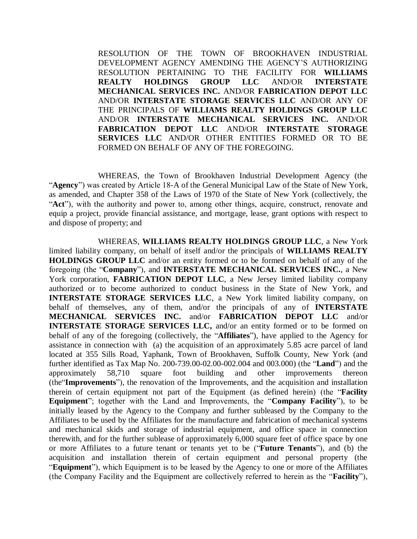RESOLUTION OF THE TOWN OF BROOKHAVEN INDUSTRIAL DEVELOPMENT AGENCY AMENDING THE AGENCY'S AUTHORIZING RESOLUTION PERTAINING TO THE FACILITY FOR **WILLIAMS REALTY HOLDINGS GROUP LLC** AND/OR **INTERSTATE MECHANICAL SERVICES INC.** AND/OR **FABRICATION DEPOT LLC** AND/OR **INTERSTATE STORAGE SERVICES LLC** AND/OR ANY OF THE PRINCIPALS OF **WILLIAMS REALTY HOLDINGS GROUP LLC** AND/OR **INTERSTATE MECHANICAL SERVICES INC.** AND/OR **FABRICATION DEPOT LLC** AND/OR **INTERSTATE STORAGE SERVICES LLC** AND/OR OTHER ENTITIES FORMED OR TO BE FORMED ON BEHALF OF ANY OF THE FOREGOING.

WHEREAS, the Town of Brookhaven Industrial Development Agency (the "**Agency**") was created by Article 18-A of the General Municipal Law of the State of New York, as amended, and Chapter 358 of the Laws of 1970 of the State of New York (collectively, the "**Act**"), with the authority and power to, among other things, acquire, construct, renovate and equip a project, provide financial assistance, and mortgage, lease, grant options with respect to and dispose of property; and

WHEREAS, **WILLIAMS REALTY HOLDINGS GROUP LLC**, a New York limited liability company, on behalf of itself and/or the principals of **WILLIAMS REALTY HOLDINGS GROUP LLC** and/or an entity formed or to be formed on behalf of any of the foregoing (the "**Company**"), and **INTERSTATE MECHANICAL SERVICES INC.**, a New York corporation, **FABRICATION DEPOT LLC**, a New Jersey limited liability company authorized or to become authorized to conduct business in the State of New York, and **INTERSTATE STORAGE SERVICES LLC**, a New York limited liability company, on behalf of themselves, any of them, and/or the principals of any of **INTERSTATE MECHANICAL SERVICES INC.** and/or **FABRICATION DEPOT LLC** and/or **INTERSTATE STORAGE SERVICES LLC,** and/or an entity formed or to be formed on behalf of any of the foregoing (collectively, the "**Affiliates**"), have applied to the Agency for assistance in connection with (a) the acquisition of an approximately 5.85 acre parcel of land located at 355 Sills Road, Yaphank, Town of Brookhaven, Suffolk County, New York (and further identified as Tax Map No. 200-739.00-02.00-002.004 and 003.000) (the "**Land**") and the approximately 58,710 square foot building and other improvements thereon (the"**Improvements**"), the renovation of the Improvements, and the acquisition and installation therein of certain equipment not part of the Equipment (as defined herein) (the "**Facility Equipment**"; together with the Land and Improvements, the "**Company Facility**"), to be initially leased by the Agency to the Company and further subleased by the Company to the Affiliates to be used by the Affiliates for the manufacture and fabrication of mechanical systems and mechanical skids and storage of industrial equipment, and office space in connection therewith, and for the further sublease of approximately 6,000 square feet of office space by one or more Affiliates to a future tenant or tenants yet to be ("**Future Tenants**"), and (b) the acquisition and installation therein of certain equipment and personal property (the "**Equipment**"), which Equipment is to be leased by the Agency to one or more of the Affiliates (the Company Facility and the Equipment are collectively referred to herein as the "**Facility**"),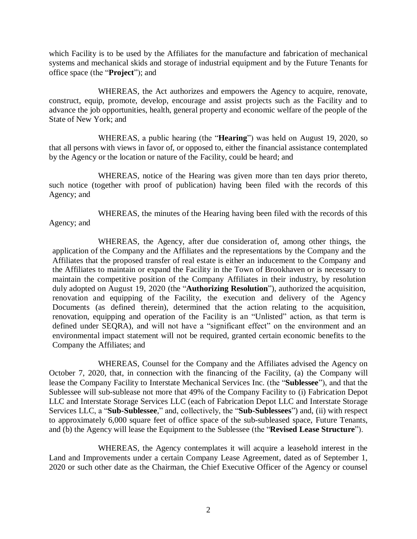which Facility is to be used by the Affiliates for the manufacture and fabrication of mechanical systems and mechanical skids and storage of industrial equipment and by the Future Tenants for office space (the "**Project**"); and

WHEREAS, the Act authorizes and empowers the Agency to acquire, renovate, construct, equip, promote, develop, encourage and assist projects such as the Facility and to advance the job opportunities, health, general property and economic welfare of the people of the State of New York; and

WHEREAS, a public hearing (the "**Hearing**") was held on August 19, 2020, so that all persons with views in favor of, or opposed to, either the financial assistance contemplated by the Agency or the location or nature of the Facility, could be heard; and

WHEREAS, notice of the Hearing was given more than ten days prior thereto, such notice (together with proof of publication) having been filed with the records of this Agency; and

WHEREAS, the minutes of the Hearing having been filed with the records of this Agency; and

WHEREAS, the Agency, after due consideration of, among other things, the application of the Company and the Affiliates and the representations by the Company and the Affiliates that the proposed transfer of real estate is either an inducement to the Company and the Affiliates to maintain or expand the Facility in the Town of Brookhaven or is necessary to maintain the competitive position of the Company Affiliates in their industry, by resolution duly adopted on August 19, 2020 (the "**Authorizing Resolution**"), authorized the acquisition, renovation and equipping of the Facility, the execution and delivery of the Agency Documents (as defined therein), determined that the action relating to the acquisition, renovation, equipping and operation of the Facility is an "Unlisted" action, as that term is defined under SEQRA), and will not have a "significant effect" on the environment and an environmental impact statement will not be required, granted certain economic benefits to the Company the Affiliates; and

WHEREAS, Counsel for the Company and the Affiliates advised the Agency on October 7, 2020, that, in connection with the financing of the Facility, (a) the Company will lease the Company Facility to Interstate Mechanical Services Inc. (the "**Sublessee**"), and that the Sublessee will sub-sublease not more that 49% of the Company Facility to (i) Fabrication Depot LLC and Interstate Storage Services LLC (each of Fabrication Depot LLC and Interstate Storage Services LLC, a "**Sub-Sublessee**," and, collectively, the "**Sub-Sublessees**") and, (ii) with respect to approximately 6,000 square feet of office space of the sub-subleased space, Future Tenants, and (b) the Agency will lease the Equipment to the Sublessee (the "**Revised Lease Structure**").

WHEREAS, the Agency contemplates it will acquire a leasehold interest in the Land and Improvements under a certain Company Lease Agreement, dated as of September 1, 2020 or such other date as the Chairman, the Chief Executive Officer of the Agency or counsel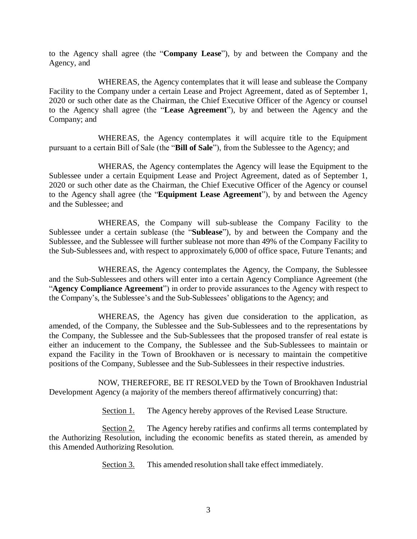to the Agency shall agree (the "**Company Lease**"), by and between the Company and the Agency, and

WHEREAS, the Agency contemplates that it will lease and sublease the Company Facility to the Company under a certain Lease and Project Agreement, dated as of September 1, 2020 or such other date as the Chairman, the Chief Executive Officer of the Agency or counsel to the Agency shall agree (the "**Lease Agreement**"), by and between the Agency and the Company; and

WHEREAS, the Agency contemplates it will acquire title to the Equipment pursuant to a certain Bill of Sale (the "**Bill of Sale**"), from the Sublessee to the Agency; and

WHERAS, the Agency contemplates the Agency will lease the Equipment to the Sublessee under a certain Equipment Lease and Project Agreement, dated as of September 1, 2020 or such other date as the Chairman, the Chief Executive Officer of the Agency or counsel to the Agency shall agree (the "**Equipment Lease Agreement**"), by and between the Agency and the Sublessee; and

WHEREAS, the Company will sub-sublease the Company Facility to the Sublessee under a certain sublease (the "**Sublease**"), by and between the Company and the Sublessee, and the Sublessee will further sublease not more than 49% of the Company Facility to the Sub-Sublessees and, with respect to approximately 6,000 of office space, Future Tenants; and

WHEREAS, the Agency contemplates the Agency, the Company, the Sublessee and the Sub-Sublessees and others will enter into a certain Agency Compliance Agreement (the "**Agency Compliance Agreement**") in order to provide assurances to the Agency with respect to the Company's, the Sublessee's and the Sub-Sublessees' obligations to the Agency; and

WHEREAS, the Agency has given due consideration to the application, as amended, of the Company, the Sublessee and the Sub-Sublessees and to the representations by the Company, the Sublessee and the Sub-Sublessees that the proposed transfer of real estate is either an inducement to the Company, the Sublessee and the Sub-Sublessees to maintain or expand the Facility in the Town of Brookhaven or is necessary to maintain the competitive positions of the Company, Sublessee and the Sub-Sublessees in their respective industries.

NOW, THEREFORE, BE IT RESOLVED by the Town of Brookhaven Industrial Development Agency (a majority of the members thereof affirmatively concurring) that:

Section 1. The Agency hereby approves of the Revised Lease Structure.

Section 2. The Agency hereby ratifies and confirms all terms contemplated by the Authorizing Resolution, including the economic benefits as stated therein, as amended by this Amended Authorizing Resolution.

Section 3. This amended resolution shall take effect immediately.